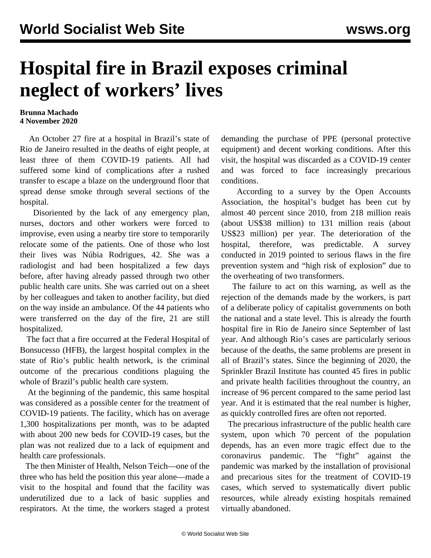## **Hospital fire in Brazil exposes criminal neglect of workers' lives**

## **Brunna Machado 4 November 2020**

 An October 27 fire at a hospital in Brazil's state of Rio de Janeiro resulted in the deaths of eight people, at least three of them COVID-19 patients. All had suffered some kind of complications after a rushed transfer to escape a blaze on the underground floor that spread dense smoke through several sections of the hospital.

 Disoriented by the lack of any emergency plan, nurses, doctors and other workers were forced to improvise, even using a nearby tire store to temporarily relocate some of the patients. One of those who lost their lives was Núbia Rodrigues, 42. She was a radiologist and had been hospitalized a few days before, after having already passed through two other public health care units. She was carried out on a sheet by her colleagues and taken to another facility, but died on the way inside an ambulance. Of the 44 patients who were transferred on the day of the fire, 21 are still hospitalized.

 The fact that a fire occurred at the Federal Hospital of Bonsucesso (HFB), the largest hospital complex in the state of Rio's public health network, is the criminal outcome of the precarious conditions plaguing the whole of Brazil's public health care system.

 At the beginning of the pandemic, this same hospital was considered as a possible center for the treatment of COVID-19 patients. The facility, which has on average 1,300 hospitalizations per month, was to be adapted with about 200 new beds for COVID-19 cases, but the plan was not realized due to a lack of equipment and health care professionals.

 The then Minister of Health, Nelson Teich—one of the three who has held the position this year alone—made a visit to the hospital and found that the facility was underutilized due to a lack of basic supplies and respirators. At the time, the workers staged a protest

demanding the purchase of PPE (personal protective equipment) and decent working conditions. After this visit, the hospital was discarded as a COVID-19 center and was forced to face increasingly precarious conditions.

 According to a survey by the Open Accounts Association, the hospital's budget has been cut by almost 40 percent since 2010, from 218 million reais (about US\$38 million) to 131 million reais (about US\$23 million) per year. The deterioration of the hospital, therefore, was predictable. A survey conducted in 2019 pointed to serious flaws in the fire prevention system and "high risk of explosion" due to the overheating of two transformers.

 The failure to act on this warning, as well as the rejection of the demands made by the workers, is part of a deliberate policy of capitalist governments on both the national and a state level. This is already the fourth hospital fire in Rio de Janeiro since September of last year. And although Rio's cases are particularly serious because of the deaths, the same problems are present in all of Brazil's states. Since the beginning of 2020, the Sprinkler Brazil Institute has counted 45 fires in public and private health facilities throughout the country, an increase of 96 percent compared to the same period last year. And it is estimated that the real number is higher, as quickly controlled fires are often not reported.

 The precarious infrastructure of the public health care system, upon which 70 percent of the population depends, has an even more tragic effect due to the coronavirus pandemic. The "fight" against the pandemic was marked by the installation of provisional and precarious sites for the treatment of COVID-19 cases, which served to systematically divert public resources, while already existing hospitals remained virtually abandoned.